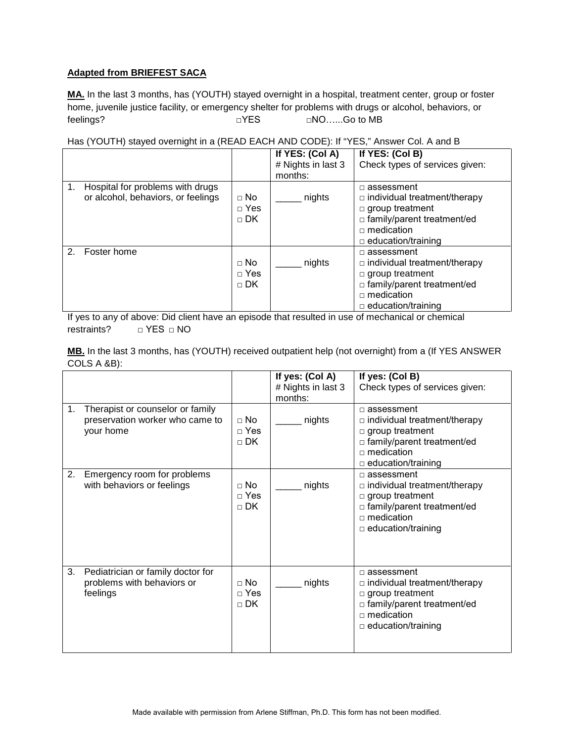## **Adapted from BRIEFEST SACA**

**MA.** In the last 3 months, has (YOUTH) stayed overnight in a hospital, treatment center, group or foster home, juvenile justice facility, or emergency shelter for problems with drugs or alcohol, behaviors, or feelings? □YES □NO…...Go to MB

Has (YOUTH) stayed overnight in a (READ EACH AND CODE): If "YES," Answer Col. A and B

|    |                                                                        |                                        | If YES: (Col A)<br># Nights in last 3<br>months: | If YES: (Col B)<br>Check types of services given:                                                                                                                    |
|----|------------------------------------------------------------------------|----------------------------------------|--------------------------------------------------|----------------------------------------------------------------------------------------------------------------------------------------------------------------------|
| 1. | Hospital for problems with drugs<br>or alcohol, behaviors, or feelings | $\Box$ No<br>$\Box$ Yes<br>$\sqcap$ DK | nights                                           | $\Box$ assessment<br>$\Box$ individual treatment/therapy<br>$\Box$ group treatment<br>□ family/parent treatment/ed<br>$\Box$ medication<br>$\Box$ education/training |
| 2. | Foster home                                                            | $\Box$ No<br>$\Box$ Yes<br>$\sqcap$ DK | nights                                           | $\Box$ assessment<br>$\Box$ individual treatment/therapy<br>$\Box$ group treatment<br>□ family/parent treatment/ed<br>$\Box$ medication<br>$\Box$ education/training |

If yes to any of above: Did client have an episode that resulted in use of mechanical or chemical restraints? □ YES □ NO

**MB.** In the last 3 months, has (YOUTH) received outpatient help (not overnight) from a (If YES ANSWER COLS A &B):

|    |                                                                                  |                                        | If yes: (Col A)<br># Nights in last 3<br>months: | If yes: (Col B)<br>Check types of services given:                                                                                                                            |
|----|----------------------------------------------------------------------------------|----------------------------------------|--------------------------------------------------|------------------------------------------------------------------------------------------------------------------------------------------------------------------------------|
| 1. | Therapist or counselor or family<br>preservation worker who came to<br>your home | $\Box$ No<br>$\Box$ Yes<br>$\sqcap$ DK | nights                                           | $\Box$ assessment<br>$\Box$ individual treatment/therapy<br>$\Box$ group treatment<br>$\Box$ family/parent treatment/ed<br>$\Box$ medication<br>$\Box$ education/training    |
| 2. | Emergency room for problems<br>with behaviors or feelings                        | $\Box$ No<br>$\Box$ Yes<br>$\sqcap$ DK | nights                                           | $\Box$ assessment<br>$\Box$ individual treatment/therapy<br>$\square$ group treatment<br>□ family/parent treatment/ed<br>$\Box$ medication<br>$\Box$ education/training      |
| 3. | Pediatrician or family doctor for<br>problems with behaviors or<br>feelings      | $\Box$ No<br>$\Box$ Yes<br>$\Box$ DK   | nights                                           | $\Box$ assessment<br>$\Box$ individual treatment/therapy<br>$\square$ group treatment<br>$\Box$ family/parent treatment/ed<br>$\Box$ medication<br>$\Box$ education/training |